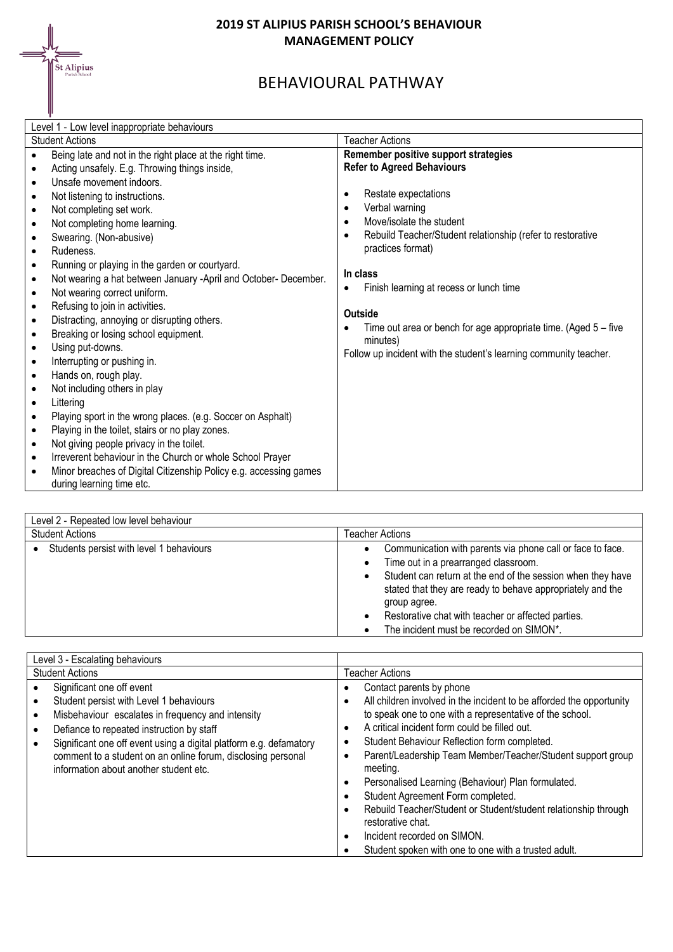

## **2019 ST ALIPIUS PARISH SCHOOL'S BEHAVIOUR MANAGEMENT POLICY**

## BEHAVIOURAL PATHWAY

| Level 1 - Low level inappropriate behaviours                                                                                                                                                                                                                                                                                                                                                                                                                                                                                                                                                                                                                                                                                                                                                                                                                                                                                                                                                                                                                                                                                                                                                                                                                                                                    |                                                                                                                                                                                                                                                                                                                                                                                                                                                                                      |  |
|-----------------------------------------------------------------------------------------------------------------------------------------------------------------------------------------------------------------------------------------------------------------------------------------------------------------------------------------------------------------------------------------------------------------------------------------------------------------------------------------------------------------------------------------------------------------------------------------------------------------------------------------------------------------------------------------------------------------------------------------------------------------------------------------------------------------------------------------------------------------------------------------------------------------------------------------------------------------------------------------------------------------------------------------------------------------------------------------------------------------------------------------------------------------------------------------------------------------------------------------------------------------------------------------------------------------|--------------------------------------------------------------------------------------------------------------------------------------------------------------------------------------------------------------------------------------------------------------------------------------------------------------------------------------------------------------------------------------------------------------------------------------------------------------------------------------|--|
| <b>Student Actions</b>                                                                                                                                                                                                                                                                                                                                                                                                                                                                                                                                                                                                                                                                                                                                                                                                                                                                                                                                                                                                                                                                                                                                                                                                                                                                                          | <b>Teacher Actions</b>                                                                                                                                                                                                                                                                                                                                                                                                                                                               |  |
| Being late and not in the right place at the right time.<br>Acting unsafely. E.g. Throwing things inside,<br>$\bullet$<br>Unsafe movement indoors.<br>$\bullet$<br>Not listening to instructions.<br>$\bullet$<br>Not completing set work.<br>$\bullet$<br>Not completing home learning.<br>$\bullet$<br>Swearing. (Non-abusive)<br>$\bullet$<br>Rudeness.<br>$\bullet$<br>Running or playing in the garden or courtyard.<br>$\bullet$<br>Not wearing a hat between January -April and October- December.<br>$\bullet$<br>Not wearing correct uniform.<br>$\bullet$<br>Refusing to join in activities.<br>$\bullet$<br>Distracting, annoying or disrupting others.<br>$\bullet$<br>Breaking or losing school equipment.<br>$\bullet$<br>Using put-downs.<br>$\bullet$<br>Interrupting or pushing in.<br>$\bullet$<br>Hands on, rough play.<br>$\bullet$<br>Not including others in play<br>$\bullet$<br>Littering<br>$\bullet$<br>Playing sport in the wrong places. (e.g. Soccer on Asphalt)<br>$\bullet$<br>Playing in the toilet, stairs or no play zones.<br>$\bullet$<br>Not giving people privacy in the toilet.<br>$\bullet$<br>Irreverent behaviour in the Church or whole School Prayer<br>$\bullet$<br>Minor breaches of Digital Citizenship Policy e.g. accessing games<br>during learning time etc. | Remember positive support strategies<br><b>Refer to Agreed Behaviours</b><br>Restate expectations<br>$\bullet$<br>Verbal warning<br>$\bullet$<br>Move/isolate the student<br>Rebuild Teacher/Student relationship (refer to restorative<br>practices format)<br>In class<br>Finish learning at recess or lunch time<br>Outside<br>Time out area or bench for age appropriate time. (Aged $5 -$ five<br>minutes)<br>Follow up incident with the student's learning community teacher. |  |

| Level 2 - Repeated low level behaviour   |                                                                                                                                                                                                                                                                                                                                                   |  |
|------------------------------------------|---------------------------------------------------------------------------------------------------------------------------------------------------------------------------------------------------------------------------------------------------------------------------------------------------------------------------------------------------|--|
| <b>Student Actions</b>                   | Teacher Actions                                                                                                                                                                                                                                                                                                                                   |  |
| Students persist with level 1 behaviours | Communication with parents via phone call or face to face.<br>Time out in a prearranged classroom.<br>Student can return at the end of the session when they have<br>stated that they are ready to behave appropriately and the<br>group agree.<br>Restorative chat with teacher or affected parties.<br>The incident must be recorded on SIMON*. |  |

| Level 3 - Escalating behaviours                                                                                                                                                                                                                                                                                                                        |                                                                                                                                                                                                                                                                                                                                                                                                                                                                                                                             |
|--------------------------------------------------------------------------------------------------------------------------------------------------------------------------------------------------------------------------------------------------------------------------------------------------------------------------------------------------------|-----------------------------------------------------------------------------------------------------------------------------------------------------------------------------------------------------------------------------------------------------------------------------------------------------------------------------------------------------------------------------------------------------------------------------------------------------------------------------------------------------------------------------|
| <b>Student Actions</b>                                                                                                                                                                                                                                                                                                                                 | <b>Teacher Actions</b>                                                                                                                                                                                                                                                                                                                                                                                                                                                                                                      |
| Significant one off event<br>Student persist with Level 1 behaviours<br>Misbehaviour escalates in frequency and intensity<br>Defiance to repeated instruction by staff<br>Significant one off event using a digital platform e.g. defamatory<br>comment to a student on an online forum, disclosing personal<br>information about another student etc. | Contact parents by phone<br>All children involved in the incident to be afforded the opportunity<br>to speak one to one with a representative of the school.<br>A critical incident form could be filled out.<br>Student Behaviour Reflection form completed.<br>Parent/Leadership Team Member/Teacher/Student support group<br>meeting.<br>Personalised Learning (Behaviour) Plan formulated.<br>Student Agreement Form completed.<br>Rebuild Teacher/Student or Student/student relationship through<br>restorative chat. |
|                                                                                                                                                                                                                                                                                                                                                        | Incident recorded on SIMON.<br>Student spoken with one to one with a trusted adult.                                                                                                                                                                                                                                                                                                                                                                                                                                         |